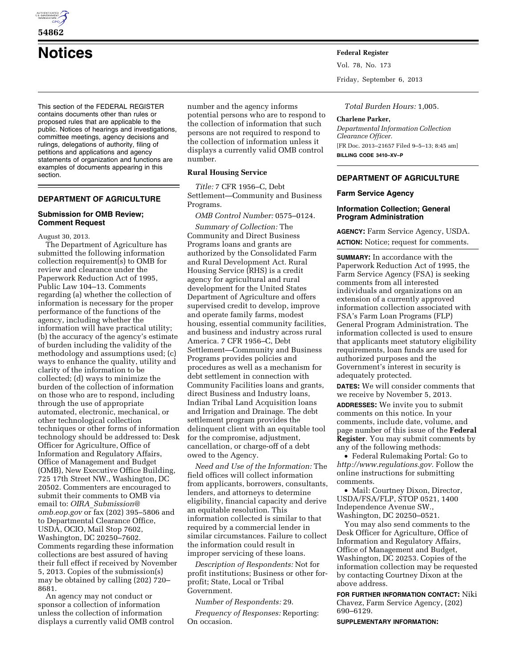

**54862** 

# **Notices Federal Register**

This section of the FEDERAL REGISTER contains documents other than rules or proposed rules that are applicable to the public. Notices of hearings and investigations, committee meetings, agency decisions and rulings, delegations of authority, filing of petitions and applications and agency statements of organization and functions are examples of documents appearing in this section.

# **DEPARTMENT OF AGRICULTURE**

# **Submission for OMB Review; Comment Request**

August 30, 2013.

The Department of Agriculture has submitted the following information collection requirement(s) to OMB for review and clearance under the Paperwork Reduction Act of 1995, Public Law 104–13. Comments regarding (a) whether the collection of information is necessary for the proper performance of the functions of the agency, including whether the information will have practical utility; (b) the accuracy of the agency's estimate of burden including the validity of the methodology and assumptions used; (c) ways to enhance the quality, utility and clarity of the information to be collected; (d) ways to minimize the burden of the collection of information on those who are to respond, including through the use of appropriate automated, electronic, mechanical, or other technological collection techniques or other forms of information technology should be addressed to: Desk Officer for Agriculture, Office of Information and Regulatory Affairs, Office of Management and Budget (OMB), New Executive Office Building, 725 17th Street NW., Washington, DC 20502. Commenters are encouraged to submit their comments to OMB via email to: *OIRA*\_*[Submission@](mailto:OIRA_Submission@omb.eop.gov) [omb.eop.gov](mailto:OIRA_Submission@omb.eop.gov)* or fax (202) 395–5806 and to Departmental Clearance Office, USDA, OCIO, Mail Stop 7602, Washington, DC 20250–7602. Comments regarding these information collections are best assured of having their full effect if received by November 5, 2013. Copies of the submission(s) may be obtained by calling (202) 720– 8681.

An agency may not conduct or sponsor a collection of information unless the collection of information displays a currently valid OMB control number and the agency informs potential persons who are to respond to the collection of information that such persons are not required to respond to the collection of information unless it displays a currently valid OMB control number.

# **Rural Housing Service**

*Title:* 7 CFR 1956–C, Debt Settlement—Community and Business Programs.

*OMB Control Number:* 0575–0124.

*Summary of Collection:* The Community and Direct Business Programs loans and grants are authorized by the Consolidated Farm and Rural Development Act. Rural Housing Service (RHS) is a credit agency for agricultural and rural development for the United States Department of Agriculture and offers supervised credit to develop, improve and operate family farms, modest housing, essential community facilities, and business and industry across rural America. 7 CFR 1956–C, Debt Settlement—Community and Business Programs provides policies and procedures as well as a mechanism for debt settlement in connection with Community Facilities loans and grants, direct Business and Industry loans, Indian Tribal Land Acquisition loans and Irrigation and Drainage. The debt settlement program provides the delinquent client with an equitable tool for the compromise, adjustment, cancellation, or charge-off of a debt owed to the Agency.

*Need and Use of the Information:* The field offices will collect information from applicants, borrowers, consultants, lenders, and attorneys to determine eligibility, financial capacity and derive an equitable resolution. This information collected is similar to that required by a commercial lender in similar circumstances. Failure to collect the information could result in improper servicing of these loans.

*Description of Respondents:* Not for profit institutions; Business or other forprofit; State, Local or Tribal Government.

*Number of Respondents:* 29.

*Frequency of Responses:* Reporting: On occasion.

Vol. 78, No. 173

Friday, September 6, 2013

*Total Burden Hours:* 1,005.

#### **Charlene Parker,**

*Departmental Information Collection Clearance Officer.*  [FR Doc. 2013–21657 Filed 9–5–13; 8:45 am] **BILLING CODE 3410–XV–P** 

# **DEPARTMENT OF AGRICULTURE**

#### **Farm Service Agency**

## **Information Collection; General Program Administration**

**AGENCY:** Farm Service Agency, USDA. **ACTION:** Notice; request for comments.

**SUMMARY:** In accordance with the Paperwork Reduction Act of 1995, the Farm Service Agency (FSA) is seeking comments from all interested individuals and organizations on an extension of a currently approved information collection associated with FSA's Farm Loan Programs (FLP) General Program Administration. The information collected is used to ensure that applicants meet statutory eligibility requirements, loan funds are used for authorized purposes and the Government's interest in security is adequately protected.

**DATES:** We will consider comments that we receive by November 5, 2013.

**ADDRESSES:** We invite you to submit comments on this notice. In your comments, include date, volume, and page number of this issue of the **Federal Register**. You may submit comments by any of the following methods:

• Federal Rulemaking Portal: Go to *[http://www.regulations.gov.](http://www.regulations.gov)* Follow the online instructions for submitting comments.

• Mail: Courtney Dixon, Director, USDA/FSA/FLP, STOP 0521, 1400 Independence Avenue SW., Washington, DC 20250–0521.

You may also send comments to the Desk Officer for Agriculture, Office of Information and Regulatory Affairs, Office of Management and Budget, Washington, DC 20253. Copies of the information collection may be requested by contacting Courtney Dixon at the above address.

**FOR FURTHER INFORMATION CONTACT:** Niki Chavez, Farm Service Agency, (202) 690–6129.

**SUPPLEMENTARY INFORMATION:**